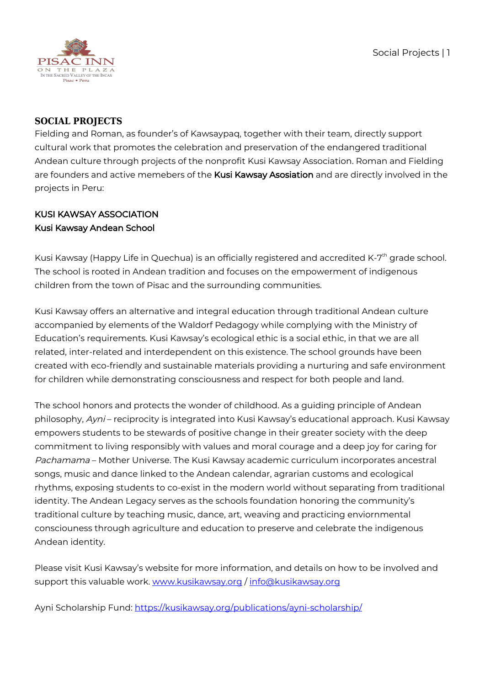

### **SOCIAL PROJECTS**

Fielding and Roman, as founder's of Kawsaypaq, together with their team, directly support cultural work that promotes the celebration and preservation of the endangered traditional Andean culture through projects of the nonprofit Kusi Kawsay Association. Roman and Fielding are founders and active memebers of the Kusi Kawsay Asosiation and are directly involved in the projects in Peru:

# KUSI KAWSAY ASSOCIATION Kusi Kawsay Andean School

Kusi Kawsay (Happy Life in Quechua) is an officially registered and accredited K-7<sup>th</sup> grade school. The school is rooted in Andean tradition and focuses on the empowerment of indigenous children from the town of Pisac and the surrounding communities.

Kusi Kawsay offers an alternative and integral education through traditional Andean culture accompanied by elements of the Waldorf Pedagogy while complying with the Ministry of Education's requirements. Kusi Kawsay's ecological ethic is a social ethic, in that we are all related, inter-related and interdependent on this existence. The school grounds have been created with eco-friendly and sustainable materials providing a nurturing and safe environment for children while demonstrating consciousness and respect for both people and land.

The school honors and protects the wonder of childhood. As a guiding principle of Andean philosophy, Ayni – reciprocity is integrated into Kusi Kawsay's educational approach. Kusi Kawsay empowers students to be stewards of positive change in their greater society with the deep commitment to living responsibly with values and moral courage and a deep joy for caring for Pachamama – Mother Universe. The Kusi Kawsay academic curriculum incorporates ancestral songs, music and dance linked to the Andean calendar, agrarian customs and ecological rhythms, exposing students to co-exist in the modern world without separating from traditional identity. The Andean Legacy serves as the schools foundation honoring the community's traditional culture by teaching music, dance, art, weaving and practicing enviornmental consciouness through agriculture and education to preserve and celebrate the indigenous Andean identity.

Please visit Kusi Kawsay's website for more information, and details on how to be involved and support this valuable work. [www.kusikawsay.org](https://www.kusikawsay.org) / [info@kusikawsay.org](mailto:info@kusikawsay.org)

Ayni Scholarship Fund: <https://kusikawsay.org/publications/ayni-scholarship/>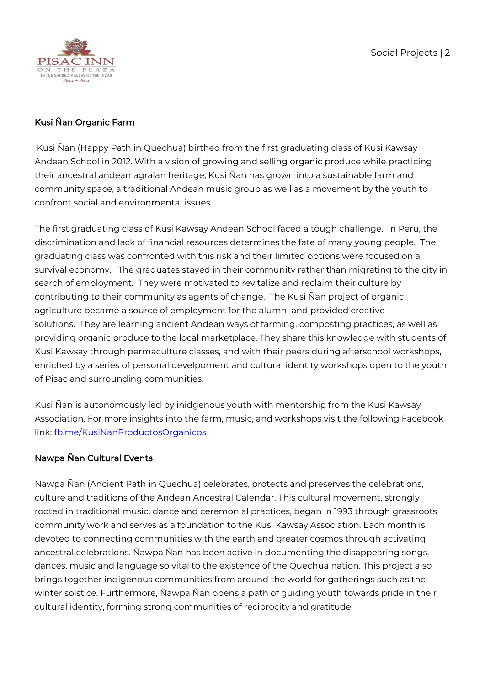

### Kusi Ñan Organic Farm

 Kusi Ñan (Happy Path in Quechua) birthed from the first graduating class of Kusi Kawsay Andean School in 2012. With a vision of growing and selling organic produce while practicing their ancestral andean agraian heritage, Kusi Ñan has grown into a sustainable farm and community space, a traditional Andean music group as well as a movement by the youth to confront social and environmental issues.

The first graduating class of Kusi Kawsay Andean School faced a tough challenge. In Peru, the discrimination and lack of financial resources determines the fate of many young people. The graduating class was confronted with this risk and their limited options were focused on a survival economy. The graduates stayed in their community rather than migrating to the city in search of employment. They were motivated to revitalize and reclaim their culture by contributing to their community as agents of change. The Kusi Ñan project of organic agriculture became a source of employment for the alumni and provided creative solutions. They are learning ancient Andean ways of farming, composting practices, as well as providing organic produce to the local marketplace. They share this knowledge with students of Kusi Kawsay through permaculture classes, and with their peers during afterschool workshops, enriched by a series of personal develpoment and cultural identity workshops open to the youth of Pisac and surrounding communities.

Kusi Ñan is autonomously led by inidgenous youth with mentorship from the Kusi Kawsay Association. For more insights into the farm, music, and workshops visit the following Facebook link: [fb.me/KusiNanProductosOrganicos](https://fb.me/KusiNanProductosOrganicos)

## Nawpa Ñan Cultural Events

Nawpa Ñan (Ancient Path in Quechua) celebrates, protects and preserves the celebrations, culture and traditions of the Andean Ancestral Calendar. This cultural movement, strongly rooted in traditional music, dance and ceremonial practices, began in 1993 through grassroots community work and serves as a foundation to the Kusi Kawsay Association. Each month is devoted to connecting communities with the earth and greater cosmos through activating ancestral celebrations. Ñawpa Ñan has been active in documenting the disappearing songs, dances, music and language so vital to the existence of the Quechua nation. This project also brings together indigenous communities from around the world for gatherings such as the winter solstice. Furthermore, Ñawpa Ñan opens a path of guiding youth towards pride in their cultural identity, forming strong communities of reciprocity and gratitude.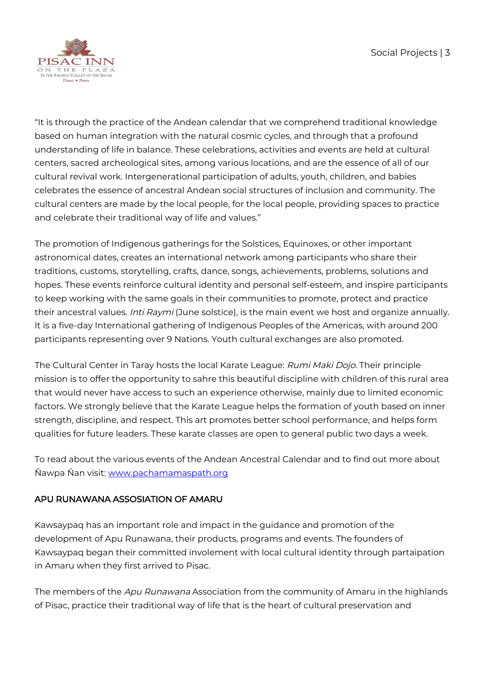

"It is through the practice of the Andean calendar that we comprehend traditional knowledge based on human integration with the natural cosmic cycles, and through that a profound understanding of life in balance. These celebrations, activities and events are held at cultural centers, sacred archeological sites, among various locations, and are the essence of all of our cultural revival work. Intergenerational participation of adults, youth, children, and babies celebrates the essence of ancestral Andean social structures of inclusion and community. The cultural centers are made by the local people, for the local people, providing spaces to practice and celebrate their traditional way of life and values."

The promotion of Indigenous gatherings for the Solstices, Equinoxes, or other important astronomical dates, creates an international network among participants who share their traditions, customs, storytelling, crafts, dance, songs, achievements, problems, solutions and hopes. These events reinforce cultural identity and personal self-esteem, and inspire participants to keep working with the same goals in their communities to promote, protect and practice their ancestral values. *Inti Raymi* (June solstice), is the main event we host and organize annually. It is a five-day International gathering of Indigenous Peoples of the Americas, with around 200 participants representing over 9 Nations. Youth cultural exchanges are also promoted.

The Cultural Center in Taray hosts the local Karate League: Rumi Maki Dojo. Their principle mission is to offer the opportunity to sahre this beautiful discipline with children of this rural area that would never have access to such an experience otherwise, mainly due to limited economic factors. We strongly believe that the Karate League helps the formation of youth based on inner strength, discipline, and respect. This art promotes better school performance, and helps form qualities for future leaders. These karate classes are open to general public two days a week.

To read about the various events of the Andean Ancestral Calendar and to find out more about Ñawpa Ñan visit: [www.pachamamaspath.org](https://www.pachamamaspath.org)

## APU RUNAWANA ASSOSIATION OF AMARU

Kawsaypaq has an important role and impact in the guidance and promotion of the development of Apu Runawana, their products, programs and events. The founders of Kawsaypaq began their committed involement with local cultural identity through partaipation in Amaru when they first arrived to Pisac.

The members of the Apu Runawana Association from the community of Amaru in the highlands of Pisac, practice their traditional way of life that is the heart of cultural preservation and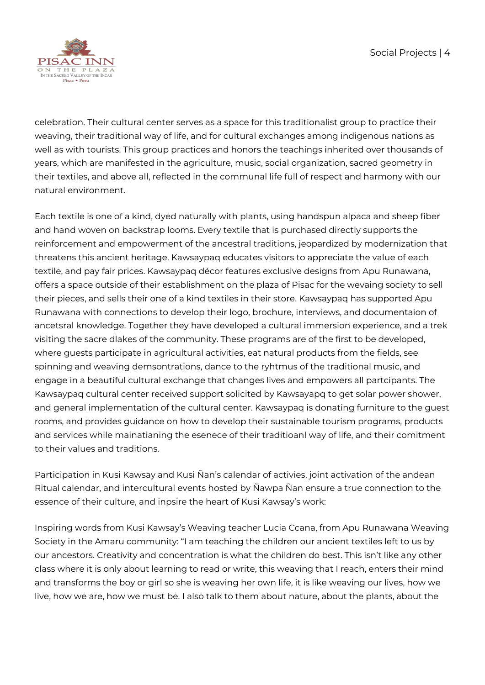

celebration. Their cultural center serves as a space for this traditionalist group to practice their weaving, their traditional way of life, and for cultural exchanges among indigenous nations as well as with tourists. This group practices and honors the teachings inherited over thousands of years, which are manifested in the agriculture, music, social organization, sacred geometry in their textiles, and above all, reflected in the communal life full of respect and harmony with our natural environment.

Each textile is one of a kind, dyed naturally with plants, using handspun alpaca and sheep fiber and hand woven on backstrap looms. Every textile that is purchased directly supports the reinforcement and empowerment of the ancestral traditions, jeopardized by modernization that threatens this ancient heritage. Kawsaypaq educates visitors to appreciate the value of each textile, and pay fair prices. Kawsaypaq décor features exclusive designs from Apu Runawana, offers a space outside of their establishment on the plaza of Pisac for the wevaing society to sell their pieces, and sells their one of a kind textiles in their store. Kawsaypaq has supported Apu Runawana with connections to develop their logo, brochure, interviews, and documentaion of ancetsral knowledge. Together they have developed a cultural immersion experience, and a trek visiting the sacre dlakes of the community. These programs are of the first to be developed, where guests participate in agricultural activities, eat natural products from the fields, see spinning and weaving demsontrations, dance to the ryhtmus of the traditional music, and engage in a beautiful cultural exchange that changes lives and empowers all partcipants. The Kawsaypaq cultural center received support solicited by Kawsayapq to get solar power shower, and general implementation of the cultural center. Kawsaypaq is donating furniture to the guest rooms, and provides guidance on how to develop their sustainable tourism programs, products and services while mainatianing the esenece of their traditioanl way of life, and their comitment to their values and traditions.

Participation in Kusi Kawsay and Kusi Ñan's calendar of activies, joint activation of the andean Ritual calendar, and intercultural events hosted by Ñawpa Ñan ensure a true connection to the essence of their culture, and inpsire the heart of Kusi Kawsay's work:

Inspiring words from Kusi Kawsay's Weaving teacher Lucia Ccana, from Apu Runawana Weaving Society in the Amaru community: "I am teaching the children our ancient textiles left to us by our ancestors. Creativity and concentration is what the children do best. This isn't like any other class where it is only about learning to read or write, this weaving that I reach, enters their mind and transforms the boy or girl so she is weaving her own life, it is like weaving our lives, how we live, how we are, how we must be. I also talk to them about nature, about the plants, about the